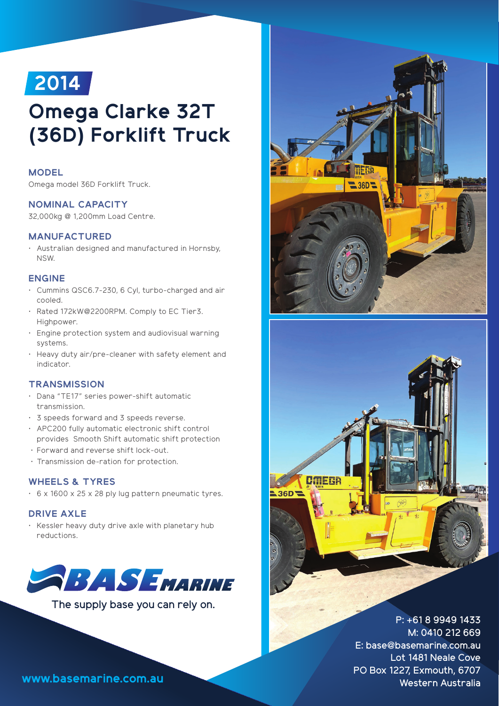

# **Omega Clarke 32T (36D) Forklift Truck**

# **MODEL**

Omega model 36D Forklift Truck.

# **NOMINAL CAPACITY**

32,000kg @ 1,200mm Load Centre.

# **MANUFACTURED**

• Australian designed and manufactured in Hornsby, NSW.

#### **ENGINE**

- Cummins QSC6.7-230, 6 Cyl, turbo-charged and air cooled.
- Rated 172kW@2200RPM. Comply to EC Tier3. Highpower.
- Engine protection system and audiovisual warning systems.
- Heavy duty air/pre-cleaner with safety element and indicator.

# **TRANSMISSION**

- Dana "TE17" series power-shift automatic transmission.
- 3 speeds forward and 3 speeds reverse.
- APC200 fully automatic electronic shift control provides Smooth Shift automatic shift protection
- Forward and reverse shift lock-out.
- Transmission de-ration for protection.

# **WHEELS & TYRES**

• 6 x 1600 x 25 x 28 ply lug pattern pneumatic tyres.

#### **DRIVE AXLE**

• Kessler heavy duty drive axle with planetary hub reductions.



The supply base you can rely on.





P: +61 8 9949 1433 M: 0410 212 669 E: base@basemarine.com.au Lot 1481 Neale Cove PO Box 1227, Exmouth, 6707 **www.basemarine.com.au** Western Australia